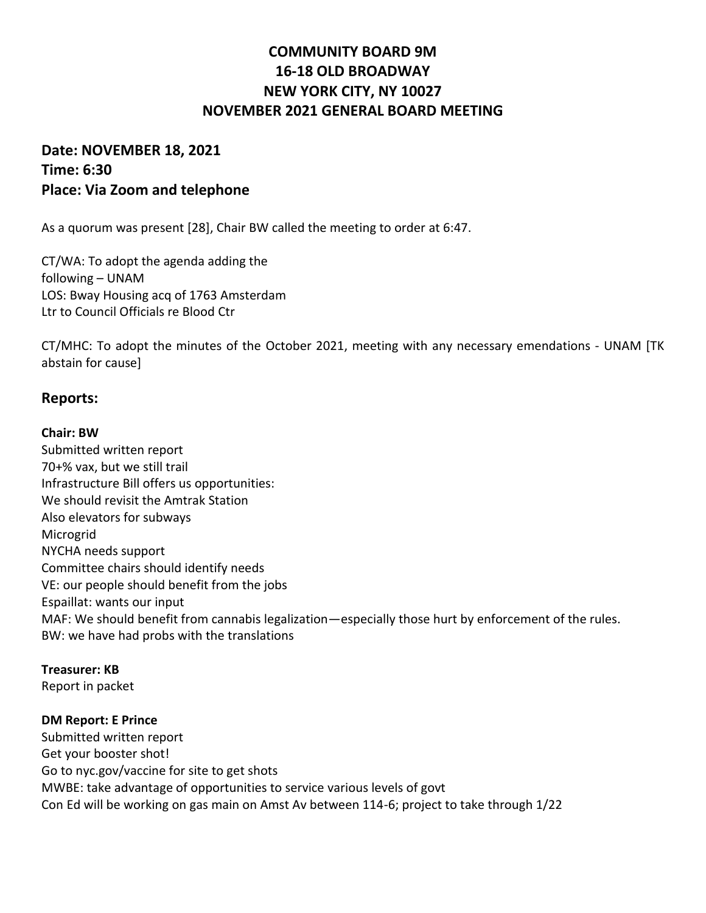# **COMMUNITY BOARD 9M 16-18 OLD BROADWAY NEW YORK CITY, NY 10027 NOVEMBER 2021 GENERAL BOARD MEETING**

## **Date: NOVEMBER 18, 2021 Time: 6:30 Place: Via Zoom and telephone**

As a quorum was present [28], Chair BW called the meeting to order at 6:47.

CT/WA: To adopt the agenda adding the following – UNAM LOS: Bway Housing acq of 1763 Amsterdam Ltr to Council Officials re Blood Ctr

CT/MHC: To adopt the minutes of the October 2021, meeting with any necessary emendations - UNAM [TK abstain for cause]

### **Reports:**

#### **Chair: BW**

Submitted written report 70+% vax, but we still trail Infrastructure Bill offers us opportunities: We should revisit the Amtrak Station Also elevators for subways Microgrid NYCHA needs support Committee chairs should identify needs VE: our people should benefit from the jobs Espaillat: wants our input MAF: We should benefit from cannabis legalization—especially those hurt by enforcement of the rules. BW: we have had probs with the translations

#### **Treasurer: KB**

Report in packet

#### **DM Report: E Prince**

Submitted written report Get your booster shot! Go to nyc.gov/vaccine for site to get shots MWBE: take advantage of opportunities to service various levels of govt Con Ed will be working on gas main on Amst Av between 114-6; project to take through 1/22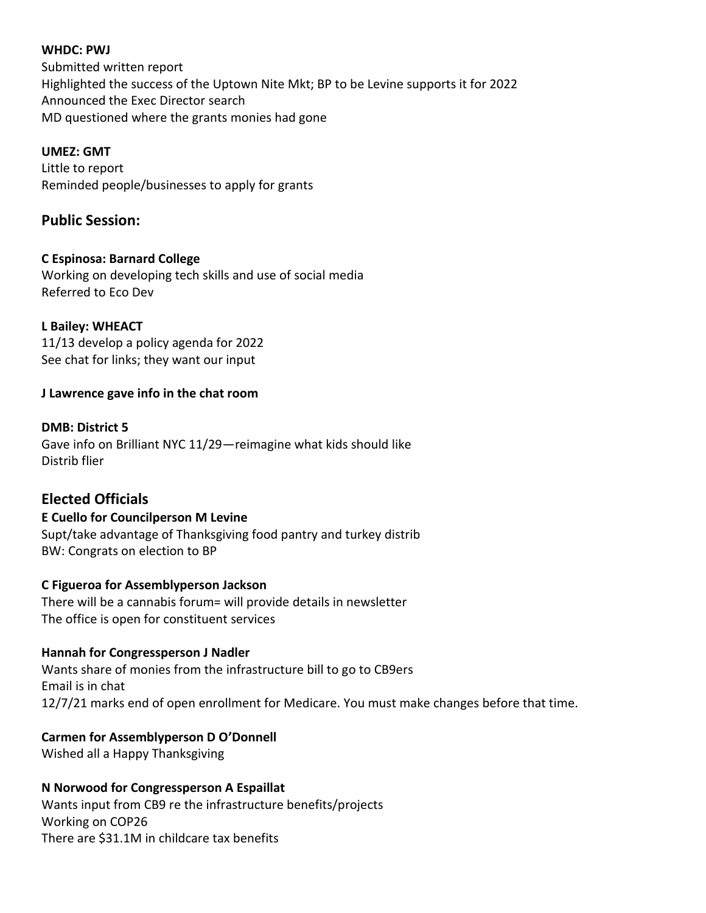#### **WHDC: PWJ**

Submitted written report Highlighted the success of the Uptown Nite Mkt; BP to be Levine supports it for 2022 Announced the Exec Director search MD questioned where the grants monies had gone

### **UMEZ: GMT**

Little to report Reminded people/businesses to apply for grants

## **Public Session:**

### **C Espinosa: Barnard College**

Working on developing tech skills and use of social media Referred to Eco Dev

### **L Bailey: WHEACT**

11/13 develop a policy agenda for 2022 See chat for links; they want our input

### **J Lawrence gave info in the chat room**

**DMB: District 5** Gave info on Brilliant NYC 11/29—reimagine what kids should like Distrib flier

## **Elected Officials**

### **E Cuello for Councilperson M Levine**

Supt/take advantage of Thanksgiving food pantry and turkey distrib BW: Congrats on election to BP

### **C Figueroa for Assemblyperson Jackson**

There will be a cannabis forum= will provide details in newsletter The office is open for constituent services

### **Hannah for Congressperson J Nadler**

Wants share of monies from the infrastructure bill to go to CB9ers Email is in chat 12/7/21 marks end of open enrollment for Medicare. You must make changes before that time.

### **Carmen for Assemblyperson D O'Donnell**

Wished all a Happy Thanksgiving

## **N Norwood for Congressperson A Espaillat**

Wants input from CB9 re the infrastructure benefits/projects Working on COP26 There are \$31.1M in childcare tax benefits